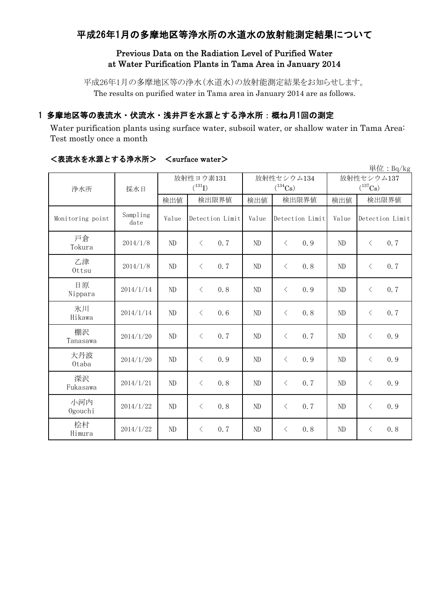## 平成26年1月の多摩地区等浄水所の水道水の放射能測定結果について

### Previous Data on the Radiation Level of Purified Water at Water Purification Plants in Tama Area in January 2014

平成26年1月の多摩地区等の浄水(水道水)の放射能測定結果をお知らせします。 The results on purified water in Tama area in January 2014 are as follows.

### 1 多摩地区等の表流水・伏流水・浅井戸を水源とする浄水所:概ね月1回の測定

Water purification plants using surface water, subsoil water, or shallow water in Tama Area: Test mostly once a month

|                  |                  |             |                  |            |                       |                | 単位: Bq/kg        |
|------------------|------------------|-------------|------------------|------------|-----------------------|----------------|------------------|
| 浄水所              | 採水日              | 放射性ヨウ素131   |                  | 放射性セシウム134 |                       | 放射性セシウム137     |                  |
|                  |                  | $(^{131}I)$ |                  |            | $(^{134}\mathrm{Cs})$ |                | $(^{137}Cs)$     |
|                  |                  | 検出値         | 検出限界値            | 検出値        | 検出限界値                 | 検出値            | 検出限界値            |
| Monitoring point | Sampling<br>date | Value       | Detection Limit  | Value      | Detection Limit       | Value          | Detection Limit  |
| 戸倉<br>Tokura     | 2014/1/8         | ND          | 0.7<br>$\langle$ | ND         | $\langle$<br>0.9      | ND             | 0.7<br>$\langle$ |
| 乙津<br>Ottsu      | 2014/1/8         | ND          | 0.7<br>$\langle$ | ND         | 0, 8<br>$\langle$     | ND             | 0.7<br>$\langle$ |
| 日原<br>Nippara    | 2014/1/14        | ND          | 0.8<br>$\langle$ | ND         | 0.9<br>$\lt$          | ND             | 0.7<br>$\langle$ |
| 氷川<br>Hikawa     | 2014/1/14        | ND          | $\langle$<br>0.6 | ND         | 0.8<br>$\langle$      | ND             | $\langle$<br>0.7 |
| 棚沢<br>Tanasawa   | 2014/1/20        | ND          | $\langle$<br>0.7 | ND         | 0.7<br>$\lt$          | ND             | 0.9<br>$\langle$ |
| 大丹波<br>0taba     | 2014/1/20        | ND          | 0.9<br>$\lt$     | ND         | 0.9<br>$\lt$          | N <sub>D</sub> | $\langle$<br>0.9 |
| 深沢<br>Fukasawa   | 2014/1/21        | ND          | 0.8<br>$\lt$     | ND         | $\lt$<br>0.7          | ND             | $\langle$<br>0.9 |
| 小河内<br>Ogouchi   | 2014/1/22        | ND          | 0.8<br>$\langle$ | ND         | 0, 7<br>$\lt$         | ND             | 0.9<br>$\langle$ |
| 桧村<br>Himura     | 2014/1/22        | ND          | 0.7<br>$\lt$     | ND         | 0.8<br>$\lt$          | ND             | 0.8<br>$\lt$     |

#### <表流水を水源とする浄水所> <surface water>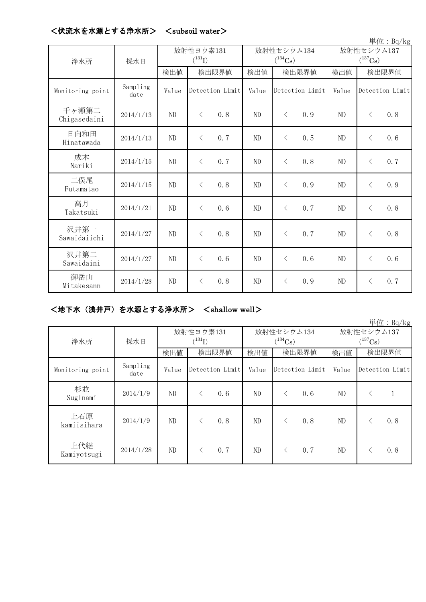|                       |                  |                          |                   |                            |                   |                                     | 単位: Bq/kg         |
|-----------------------|------------------|--------------------------|-------------------|----------------------------|-------------------|-------------------------------------|-------------------|
| 浄水所                   | 採水日              | 放射性ヨウ素131<br>$(^{131}I)$ |                   | 放射性セシウム134<br>$(^{134}Cs)$ |                   | 放射性セシウム137<br>$(^{137}\mathrm{Cs})$ |                   |
|                       |                  | 検出値                      | 検出限界値             | 検出値                        | 検出限界値             | 検出値                                 | 検出限界値             |
| Monitoring point      | Sampling<br>date | Value                    | Detection Limit   | Value                      | Detection Limit   | Value                               | Detection Limit   |
| 千ヶ瀬第二<br>Chigasedaini | 2014/1/13        | ND                       | $\lt$<br>0.8      | ND                         | $\langle$<br>0.9  | N <sub>D</sub>                      | $\langle$<br>0, 8 |
| 日向和田<br>Hinatawada    | 2014/1/13        | ND                       | $\langle$<br>0.7  | ND                         | 0.5<br>$\lt$      | ND                                  | 0.6<br>$\langle$  |
| 成木<br>Nariki          | 2014/1/15        | ND                       | $\langle$<br>0, 7 | ND                         | 0, 8<br>$\langle$ | N <sub>D</sub>                      | 0.7<br>$\lt$      |
| 二俣尾<br>Futamatao      | 2014/1/15        | ND                       | $\lt$<br>0.8      | ND                         | $\langle$<br>0.9  | N <sub>D</sub>                      | 0.9<br>$\langle$  |
| 高月<br>Takatsuki       | 2014/1/21        | ND                       | $\langle$<br>0, 6 | ND                         | $\langle$<br>0, 7 | N <sub>D</sub>                      | $\langle$<br>0.8  |
| 沢井第一<br>Sawaidaiichi  | 2014/1/27        | ND                       | 0.8<br>$\lt$      | ND                         | 0.7<br>$\langle$  | ND                                  | 0, 8<br>$\lt$     |
| 沢井第二<br>Sawaidaini    | 2014/1/27        | ND                       | 0, 6<br>$\langle$ | ND                         | $\langle$<br>0, 6 | N <sub>D</sub>                      | $\langle$<br>0, 6 |
| 御岳山<br>Mitakesann     | 2014/1/28        | ND                       | 0.8<br>$\lt$      | ND                         | $\langle$<br>0.9  | N <sub>D</sub>                      | 0.7<br>$\langle$  |

#### <伏流水を水源とする浄水所> <subsoil water>

#### <地下水(浅井戸)を水源とする浄水所> <shallow well>

単位:Bq/kg 検出値 検出限界値 検出値 検出限界値 検出値 Monitoring point Sampling date Value Detection Limit | Value Detection Limit | Value Detection Limit 杉並 Suginami  $2014/1/9$  ND  $\leq$  0.6 ND  $\leq$  0.6 ND  $\leq$  1 上石原 kamiisihara  $2014/1/9$  ND < 0.8 ND < 0.8 ND < 0.8 上代継 Kamiyotsugi 2014/1/28 ND  $\left\{ \begin{array}{ccc} 2 & 0.7 \\ 0.7 & 0.7 \end{array} \right\}$   $\left\{ \begin{array}{ccc} 0.7 \\ 0.7 \\ 0.8 \end{array} \right\}$ 浄水所 採水日 検出限界値 | 検出値 | 検出値 | 検出限界値 放射性ヨウ素131  $(^{131}\text{I})$ 放射性セシウム134  $(134)$ Cs) 放射性セシウム137  $(^{137}Cs)$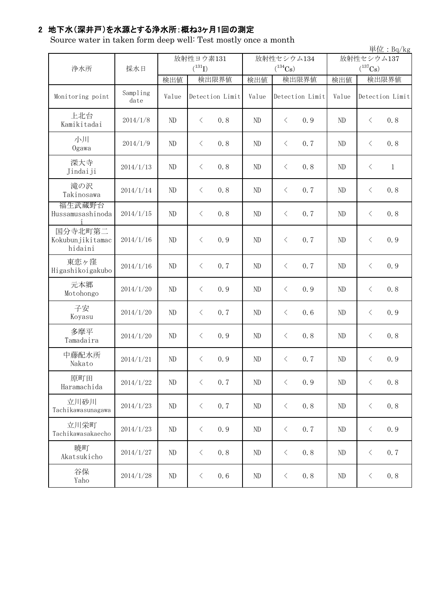# 2 地下水(深井戸)を水源とする浄水所:概ね3ヶ月1回の測定

Source water in taken form deep well: Test mostly once a month

|                                        |                  |                          |                  |                            |                  |                            | 単位: Bq/kg                 |
|----------------------------------------|------------------|--------------------------|------------------|----------------------------|------------------|----------------------------|---------------------------|
| 浄水所                                    | 採水日              | 放射性ヨウ素131<br>$(^{131}I)$ |                  | 放射性セシウム134<br>$(^{134}Cs)$ |                  | 放射性セシウム137<br>$(^{137}Cs)$ |                           |
|                                        |                  | 検出値                      | 検出限界値            | 検出値                        | 検出限界値            | 検出値                        | 検出限界値                     |
| Monitoring point                       | Sampling<br>date | Value                    | Detection Limit  | Value                      | Detection Limit  | Value                      | Detection Limit           |
| 上北台<br>Kamikitadai                     | 2014/1/8         | $\rm ND$                 | $\langle$<br>0.8 | ND                         | $\langle$<br>0.9 | ND                         | $\langle$<br>0.8          |
| 小川<br>Ogawa                            | 2014/1/9         | ND                       | 0.8<br>$\langle$ | ND                         | 0.7<br>$\langle$ | ND                         | 0.8<br>$\lt$              |
| 深大寺<br>Jindaiji                        | 2014/1/13        | ND                       | $\langle$<br>0.8 | ND                         | $\langle$<br>0.8 | ND                         | $\langle$<br>$\mathbf{1}$ |
| 滝の沢<br>Takinosawa                      | 2014/1/14        | ND                       | 0.8<br>$\langle$ | ND                         | 0.7<br>$\langle$ | ND                         | 0.8<br>$\langle$          |
| 福生武蔵野台<br>Hussamusashinoda             | 2014/1/15        | $\rm ND$                 | $\langle$<br>0.8 | ND                         | 0.7<br>$\langle$ | ND                         | $\langle$<br>0.8          |
| 国分寺北町第二<br>Kokubunjikitamac<br>hidaini | 2014/1/16        | ND                       | 0.9<br>$\lt$     | ND                         | 0.7<br>$\langle$ | ND                         | $\lt$<br>0.9              |
| 東恋ヶ窪<br>Higashikoigakubo               | 2014/1/16        | $\rm ND$                 | 0.7<br>$\langle$ | ND                         | $\langle$<br>0.7 | ND                         | $\langle$<br>0.9          |
| 元本郷<br>Motohongo                       | 2014/1/20        | ND                       | 0.9<br>$\langle$ | ND                         | $\langle$<br>0.9 | ND                         | $\langle$<br>0.8          |
| 子安<br>Koyasu                           | 2014/1/20        | ND                       | 0.7<br>$\langle$ | ND                         | $\langle$<br>0.6 | ND                         | $\langle$<br>0.9          |
| 多摩平<br>Tamadaira                       | 2014/1/20        | ND                       | $\langle$<br>0.9 | ND                         | $\langle$<br>0.8 | ND                         | 0.8<br>$\langle$          |
| 中藤配水所<br>Nakato                        | 2014/1/21        | $\rm ND$                 | 0.9<br>$\lt$     | ND                         | 0.7<br>$\langle$ | ND                         | $\langle$<br>0.9          |
| 原町田<br>Haramachida                     | 2014/1/22        | $\rm ND$                 | 0.7<br>$\langle$ | ND                         | $\langle$<br>0.9 | ND                         | $\langle$<br>0.8          |
| 立川砂川<br>Tachikawasunagawa              | 2014/1/23        | ND                       | 0.7<br>$\langle$ | ND                         | $\langle$<br>0.8 | ND                         | 0.8<br>$\langle$          |
| 立川栄町<br>Tachikawasakaecho              | 2014/1/23        | $\rm ND$                 | 0.9<br>$\langle$ | ND                         | $\langle$<br>0.7 | ND                         | 0.9<br>$\langle$          |
| 暁町<br>Akatsukicho                      | 2014/1/27        | $\rm ND$                 | 0.8<br>$\langle$ | ND                         | 0.8<br>$\langle$ | ND                         | 0.7<br>$\langle$          |
| 谷保<br>Yaho                             | 2014/1/28        | $\rm ND$                 | 0.6<br>$\langle$ | ND                         | 0.8<br>$\langle$ | $\rm ND$                   | $\langle$<br>0.8          |